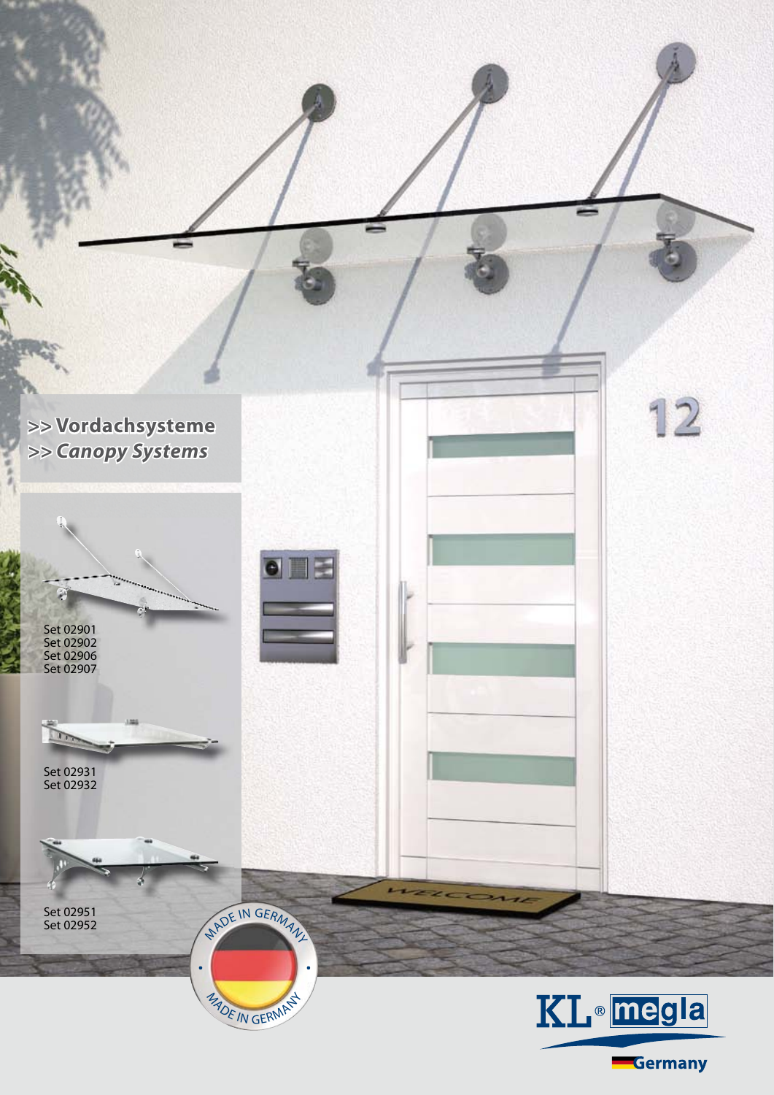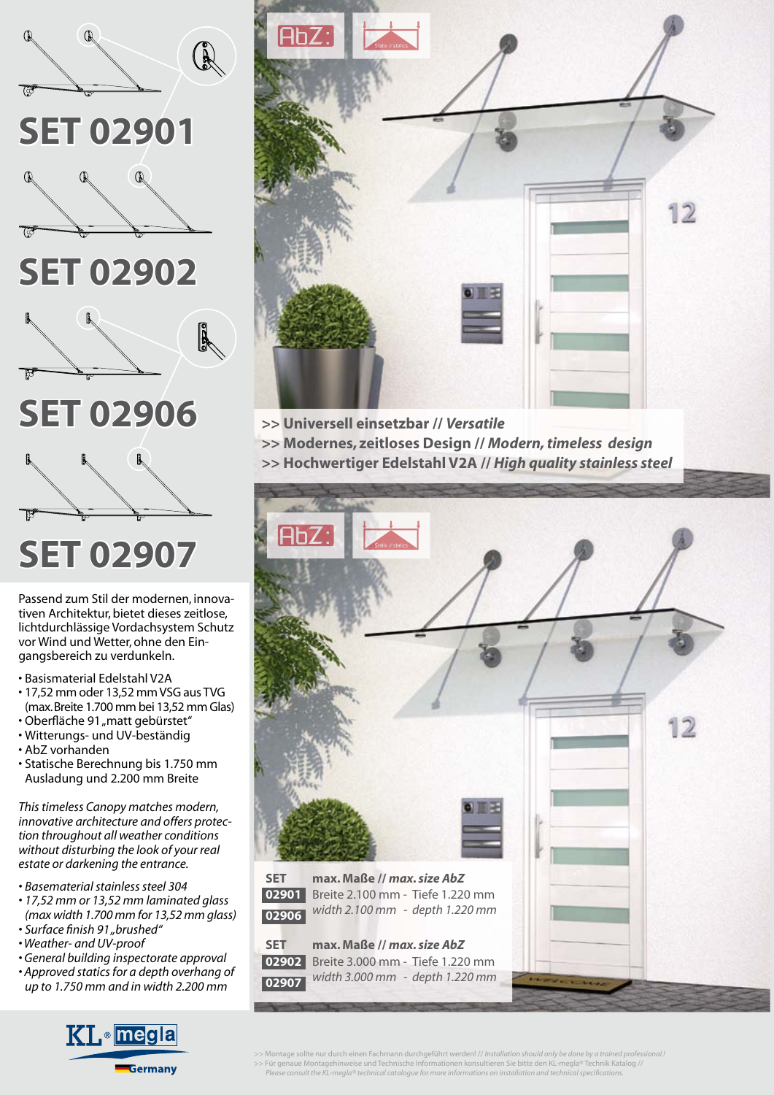

Passend zum Stil der modernen, innovativen Architektur, bietet dieses zeitlose, lichtdurchlässige Vordachsystem Schutz vor Wind und Wetter, ohne den Eingangsbereich zu verdunkeln.

- Basismaterial Edelstahl V2A
- 17,52 mm oder 13,52 mm VSG aus TVG (max. Breite 1.700 mm bei 13,52 mm Glas)
- Oberfläche 91 "matt gebürstet"
- Witterungs- und UV-beständig
- AbZ vorhanden
- Statische Berechnung bis 1.750 mm Ausladung und 2.200 mm Breite

*This timeless Canopy matches modern, innovative architecture and offers protection throughout all weather conditions without disturbing the look of your real estate or darkening the entrance.*

- *Basematerial stainless steel 304*
- *17,52 mm or 13,52 mm laminated glass (max width 1.700 mm for 13,52 mm glass) • Surface fi nish 91 "brushed"*
- *Weather- and UV-proof*
- *General building inspectorate approval*
- *Approved statics for a depth overhang of up to 1.750 mm and in width 2.200 mm*





- **>> Universell einsetzbar //** *Versatile*
- **>> Modernes, zeitloses Design //** *Modern, timeless design*
- **>> Hochwertiger Edelstahl V2A //** *High quality stainless steel*



>> Montage sollte nur durch einen Fachmann durchgeführt werden! // *Installation should only be done by a trained professional* :<br>>> Für genaue Montagehinweise und Technische Informationen konsultieren Sie bitte den KL-meg  *Please consult the KL-megla® technical catalogue for more informations on installation and technical specifi cations.*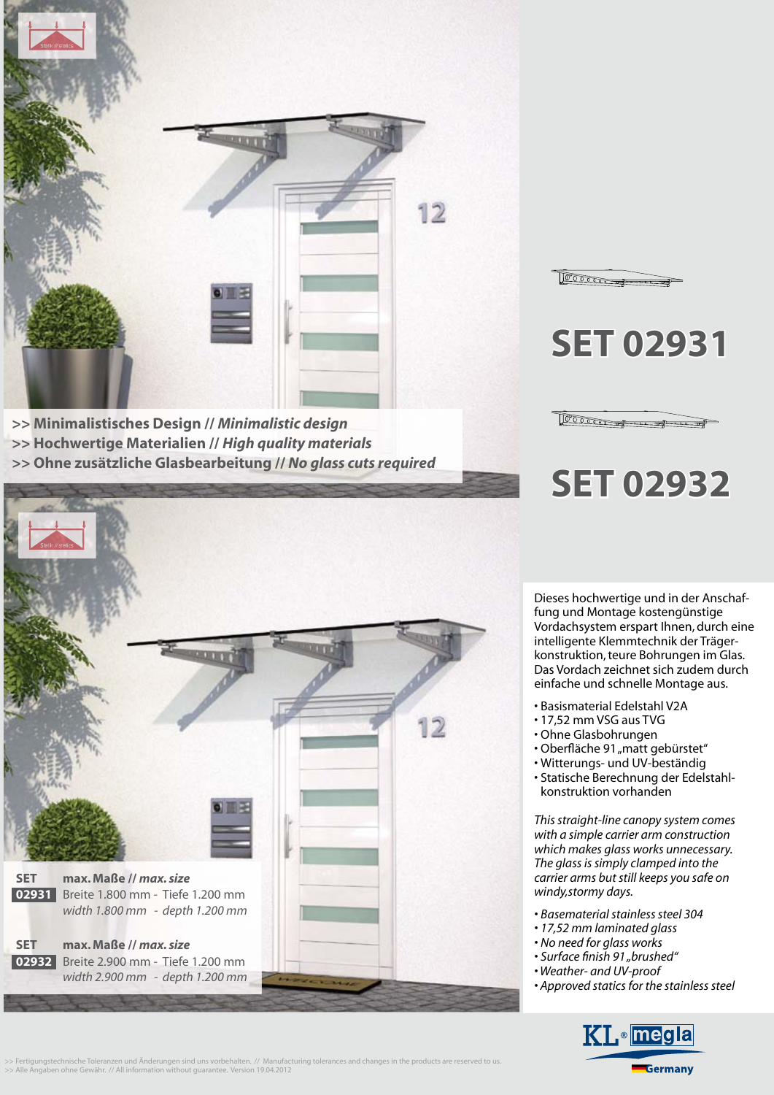

**>> Minimalistisches Design //** *Minimalistic design* **>> Hochwertige Materialien //** *High quality materials* **>> Ohne zusätzliche Glasbearbeitung //** *No glass cuts required*



**SET 02931**

Dom

 $100000$ 

## **SET 02932**

Dieses hochwertige und in der Anschaffung und Montage kostengünstige Vordachsystem erspart Ihnen, durch eine intelligente Klemmtechnik der Trägerkonstruktion, teure Bohrungen im Glas. Das Vordach zeichnet sich zudem durch einfache und schnelle Montage aus.

- Basismaterial Edelstahl V2A
- 17,52 mm VSG aus TVG
- Ohne Glasbohrungen
- Oberfläche 91 "matt gebürstet"
- Witterungs- und UV-beständig
- Statische Berechnung der Edelstahl konstruktion vorhanden

*This straight-line canopy system comes with a simple carrier arm construction which makes glass works unnecessary. The glass is simply clamped into the carrier arms but still keeps you safe on windy,stormy days.*

- *Basematerial stainless steel 304*
- *17,52 mm laminated glass*
- *No need for glass works*
- Surface finish 91 "brushed"
- *Weather- and UV-proof*
- *Approved statics for the stainless steel*



>> Fertigungstechnische Toleranzen und Anderungen sind uns vorbehalten. // Manufacturing tolerances and changes in the products are reserved to us.<br>>> Alle Angaben ohne Gewähr. // All information without guarantee. Version